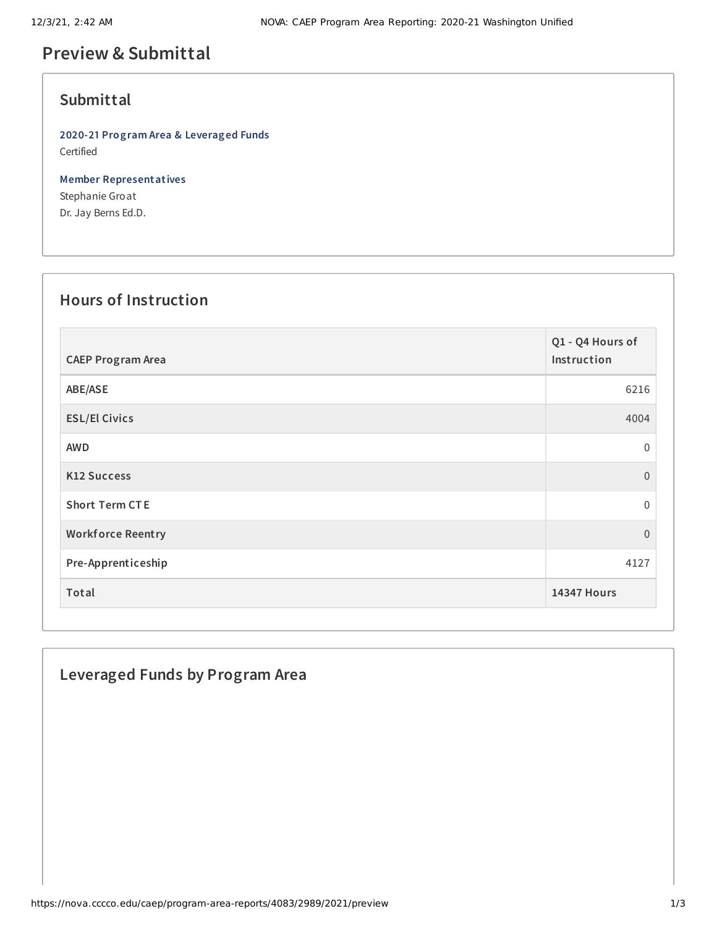# **Preview & Submittal**

## **Submittal**

**2020-21 Program Area & Leveraged Funds** Certified

**Member Representatives** Stephanie Groat Dr. Jay Berns Ed.D.

#### **Hours of Instruction**

| <b>CAEP Program Area</b> | Q1 - Q4 Hours of<br>Instruction |
|--------------------------|---------------------------------|
| ABE/ASE                  | 6216                            |
| <b>ESL/El Civics</b>     | 4004                            |
| <b>AWD</b>               | $\boldsymbol{0}$                |
| <b>K12 Success</b>       | $\Omega$                        |
| <b>Short Term CTE</b>    | $\Omega$                        |
| <b>Workforce Reentry</b> | $\boldsymbol{0}$                |
| Pre-Apprenticeship       | 4127                            |
| Total                    | <b>14347 Hours</b>              |

## **Leveraged Funds by Program Area**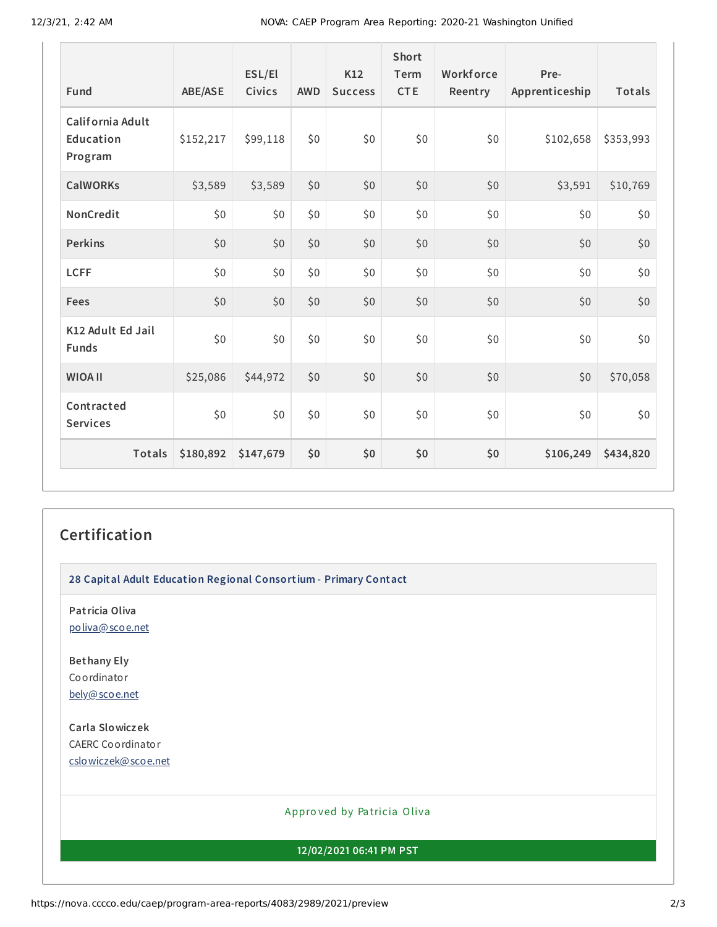12/3/21, 2:42 AM NOVA: CAEP Program Area Reporting: 2020-21 Washington Unified

| Fund                                     | <b>ABE/ASE</b> | ESL/El<br><b>Civics</b> | <b>AWD</b> | K12<br><b>Success</b> | <b>Short</b><br>Term<br><b>CTE</b> | Workforce<br>Reentry | Pre-<br>Apprenticeship | <b>Totals</b> |
|------------------------------------------|----------------|-------------------------|------------|-----------------------|------------------------------------|----------------------|------------------------|---------------|
| California Adult<br>Education<br>Program | \$152,217      | \$99,118                | \$0        | \$0                   | \$0                                | \$0                  | \$102,658              | \$353,993     |
| <b>CalWORKs</b>                          | \$3,589        | \$3,589                 | \$0        | \$0                   | \$0                                | \$0                  | \$3,591                | \$10,769      |
| NonCredit                                | \$0            | \$0                     | \$0        | \$0                   | \$0                                | \$0                  | \$0                    | \$0           |
| <b>Perkins</b>                           | \$0            | \$0                     | \$0        | \$0                   | \$0                                | \$0                  | \$0                    | \$0           |
| <b>LCFF</b>                              | \$0            | \$0                     | \$0        | \$0                   | \$0                                | \$0                  | \$0                    | \$0           |
| Fees                                     | \$0            | \$0                     | \$0        | \$0                   | \$0                                | \$0                  | \$0                    | \$0           |
| K12 Adult Ed Jail<br><b>Funds</b>        | \$0            | \$0                     | \$0        | \$0                   | \$0                                | \$0                  | \$0                    | \$0           |
| <b>WIOA II</b>                           | \$25,086       | \$44,972                | \$0        | \$0                   | \$0                                | \$0                  | \$0                    | \$70,058      |
| Contracted<br><b>Services</b>            | \$0            | \$0                     | \$0        | \$0                   | \$0                                | \$0                  | \$0                    | \$0           |
| Totals                                   | \$180,892      | \$147,679               | \$0        | \$0                   | \$0                                | \$0                  | \$106,249              | \$434,820     |

### **Certification**

**28 Capital Adult Education Regional Consortium - Primary Contact**

**Patricia Oliva** [poliva@scoe.net](mailto:poliva@scoe.net)

**Bethany Ely** Coordinator [bely@scoe.net](mailto:bely@scoe.net)

**Carla Slowiczek** CAERC Coordinator [cslowiczek@scoe.net](mailto:cslowiczek@scoe.net)

#### Appro ved by Pa tricia Oliva

**12/02/2021 06:41 PM PST**